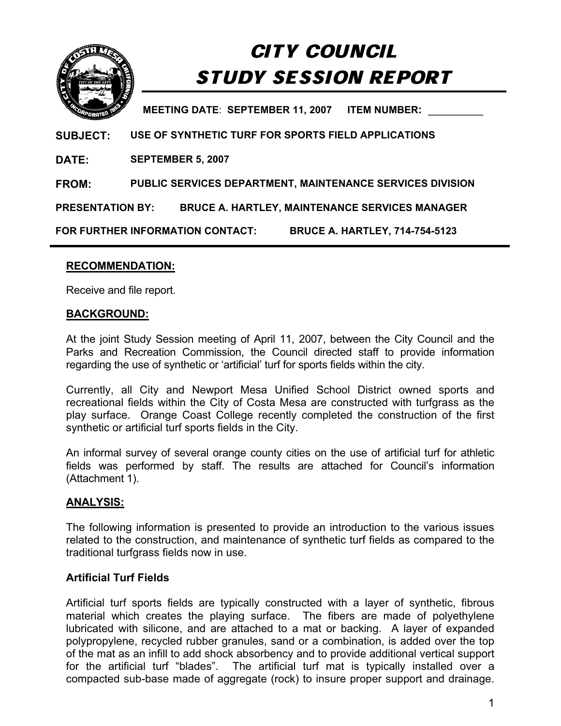

# CITY COUNCIL STUDY SESSION REPORT

**MEETING DATE**: **SEPTEMBER 11, 2007 ITEM NUMBER:** \_\_\_\_\_\_\_\_\_

**SUBJECT: USE OF SYNTHETIC TURF FOR SPORTS FIELD APPLICATIONS**

**DATE: SEPTEMBER 5, 2007** 

**FROM: PUBLIC SERVICES DEPARTMENT, MAINTENANCE SERVICES DIVISION** 

**PRESENTATION BY: BRUCE A. HARTLEY, MAINTENANCE SERVICES MANAGER** 

**FOR FURTHER INFORMATION CONTACT: BRUCE A. HARTLEY, 714-754-5123** 

## **RECOMMENDATION:**

Receive and file report.

## **BACKGROUND:**

At the joint Study Session meeting of April 11, 2007, between the City Council and the Parks and Recreation Commission, the Council directed staff to provide information regarding the use of synthetic or 'artificial' turf for sports fields within the city.

Currently, all City and Newport Mesa Unified School District owned sports and recreational fields within the City of Costa Mesa are constructed with turfgrass as the play surface. Orange Coast College recently completed the construction of the first synthetic or artificial turf sports fields in the City.

An informal survey of several orange county cities on the use of artificial turf for athletic fields was performed by staff. The results are attached for Council's information (Attachment 1).

## **ANALYSIS:**

The following information is presented to provide an introduction to the various issues related to the construction, and maintenance of synthetic turf fields as compared to the traditional turfgrass fields now in use.

## **Artificial Turf Fields**

Artificial turf sports fields are typically constructed with a layer of synthetic, fibrous material which creates the playing surface. The fibers are made of polyethylene lubricated with silicone, and are attached to a mat or backing. A layer of expanded polypropylene, recycled rubber granules, sand or a combination, is added over the top of the mat as an infill to add shock absorbency and to provide additional vertical support for the artificial turf "blades". The artificial turf mat is typically installed over a compacted sub-base made of aggregate (rock) to insure proper support and drainage.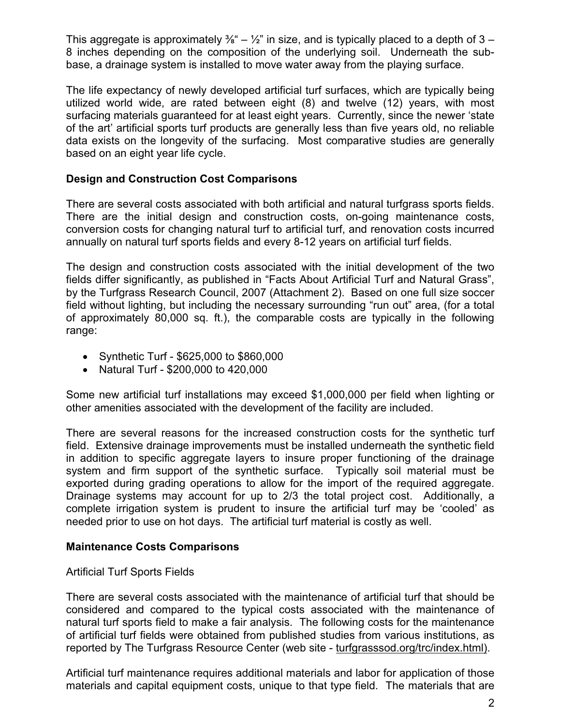This aggregate is approximately  $\frac{3}{8}$ " –  $\frac{1}{2}$ " in size, and is typically placed to a depth of 3 – 8 inches depending on the composition of the underlying soil. Underneath the subbase, a drainage system is installed to move water away from the playing surface.

The life expectancy of newly developed artificial turf surfaces, which are typically being utilized world wide, are rated between eight (8) and twelve (12) years, with most surfacing materials guaranteed for at least eight years. Currently, since the newer 'state of the art' artificial sports turf products are generally less than five years old, no reliable data exists on the longevity of the surfacing. Most comparative studies are generally based on an eight year life cycle.

## **Design and Construction Cost Comparisons**

There are several costs associated with both artificial and natural turfgrass sports fields. There are the initial design and construction costs, on-going maintenance costs, conversion costs for changing natural turf to artificial turf, and renovation costs incurred annually on natural turf sports fields and every 8-12 years on artificial turf fields.

The design and construction costs associated with the initial development of the two fields differ significantly, as published in "Facts About Artificial Turf and Natural Grass", by the Turfgrass Research Council, 2007 (Attachment 2). Based on one full size soccer field without lighting, but including the necessary surrounding "run out" area, (for a total of approximately 80,000 sq. ft.), the comparable costs are typically in the following range:

- Synthetic Turf \$625,000 to \$860,000
- Natural Turf \$200,000 to 420,000

Some new artificial turf installations may exceed \$1,000,000 per field when lighting or other amenities associated with the development of the facility are included.

There are several reasons for the increased construction costs for the synthetic turf field. Extensive drainage improvements must be installed underneath the synthetic field in addition to specific aggregate layers to insure proper functioning of the drainage system and firm support of the synthetic surface. Typically soil material must be exported during grading operations to allow for the import of the required aggregate. Drainage systems may account for up to 2/3 the total project cost. Additionally, a complete irrigation system is prudent to insure the artificial turf may be 'cooled' as needed prior to use on hot days. The artificial turf material is costly as well.

## **Maintenance Costs Comparisons**

## Artificial Turf Sports Fields

There are several costs associated with the maintenance of artificial turf that should be considered and compared to the typical costs associated with the maintenance of natural turf sports field to make a fair analysis. The following costs for the maintenance of artificial turf fields were obtained from published studies from various institutions, as reported by The Turfgrass Resource Center (web site - turfgrasssod.org/trc/index.html).

Artificial turf maintenance requires additional materials and labor for application of those materials and capital equipment costs, unique to that type field. The materials that are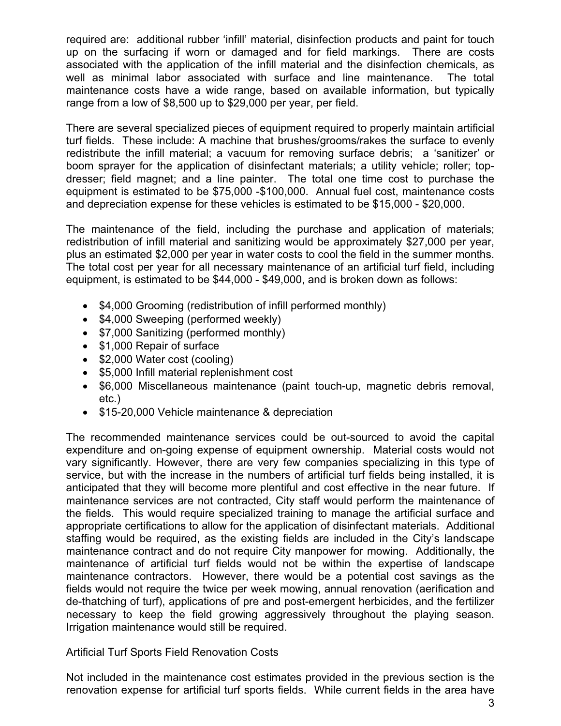required are: additional rubber 'infill' material, disinfection products and paint for touch up on the surfacing if worn or damaged and for field markings. There are costs associated with the application of the infill material and the disinfection chemicals, as well as minimal labor associated with surface and line maintenance. The total maintenance costs have a wide range, based on available information, but typically range from a low of \$8,500 up to \$29,000 per year, per field.

There are several specialized pieces of equipment required to properly maintain artificial turf fields. These include: A machine that brushes/grooms/rakes the surface to evenly redistribute the infill material; a vacuum for removing surface debris; a 'sanitizer' or boom sprayer for the application of disinfectant materials; a utility vehicle; roller; topdresser; field magnet; and a line painter. The total one time cost to purchase the equipment is estimated to be \$75,000 -\$100,000. Annual fuel cost, maintenance costs and depreciation expense for these vehicles is estimated to be \$15,000 - \$20,000.

The maintenance of the field, including the purchase and application of materials; redistribution of infill material and sanitizing would be approximately \$27,000 per year, plus an estimated \$2,000 per year in water costs to cool the field in the summer months. The total cost per year for all necessary maintenance of an artificial turf field, including equipment, is estimated to be \$44,000 - \$49,000, and is broken down as follows:

- \$4,000 Grooming (redistribution of infill performed monthly)
- $\bullet$  \$4,000 Sweeping (performed weekly)
- \$7,000 Sanitizing (performed monthly)
- \$1,000 Repair of surface
- \$2,000 Water cost (cooling)
- \$5,000 Infill material replenishment cost
- \$6,000 Miscellaneous maintenance (paint touch-up, magnetic debris removal, etc.)
- \$15-20,000 Vehicle maintenance & depreciation

The recommended maintenance services could be out-sourced to avoid the capital expenditure and on-going expense of equipment ownership. Material costs would not vary significantly. However, there are very few companies specializing in this type of service, but with the increase in the numbers of artificial turf fields being installed, it is anticipated that they will become more plentiful and cost effective in the near future. If maintenance services are not contracted, City staff would perform the maintenance of the fields. This would require specialized training to manage the artificial surface and appropriate certifications to allow for the application of disinfectant materials. Additional staffing would be required, as the existing fields are included in the City's landscape maintenance contract and do not require City manpower for mowing. Additionally, the maintenance of artificial turf fields would not be within the expertise of landscape maintenance contractors. However, there would be a potential cost savings as the fields would not require the twice per week mowing, annual renovation (aerification and de-thatching of turf), applications of pre and post-emergent herbicides, and the fertilizer necessary to keep the field growing aggressively throughout the playing season. Irrigation maintenance would still be required.

Artificial Turf Sports Field Renovation Costs

Not included in the maintenance cost estimates provided in the previous section is the renovation expense for artificial turf sports fields. While current fields in the area have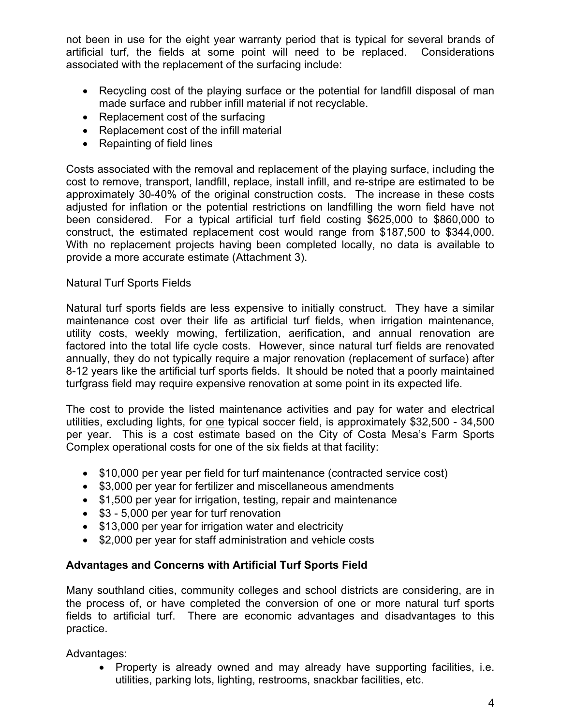not been in use for the eight year warranty period that is typical for several brands of artificial turf, the fields at some point will need to be replaced. Considerations associated with the replacement of the surfacing include:

- Recycling cost of the playing surface or the potential for landfill disposal of man made surface and rubber infill material if not recyclable.
- $\bullet$  Replacement cost of the surfacing
- Replacement cost of the infill material
- $\bullet$  Repainting of field lines

Costs associated with the removal and replacement of the playing surface, including the cost to remove, transport, landfill, replace, install infill, and re-stripe are estimated to be approximately 30-40% of the original construction costs. The increase in these costs adjusted for inflation or the potential restrictions on landfilling the worn field have not been considered. For a typical artificial turf field costing \$625,000 to \$860,000 to construct, the estimated replacement cost would range from \$187,500 to \$344,000. With no replacement projects having been completed locally, no data is available to provide a more accurate estimate (Attachment 3).

## Natural Turf Sports Fields

Natural turf sports fields are less expensive to initially construct. They have a similar maintenance cost over their life as artificial turf fields, when irrigation maintenance, utility costs, weekly mowing, fertilization, aerification, and annual renovation are factored into the total life cycle costs. However, since natural turf fields are renovated annually, they do not typically require a major renovation (replacement of surface) after 8-12 years like the artificial turf sports fields. It should be noted that a poorly maintained turfgrass field may require expensive renovation at some point in its expected life.

The cost to provide the listed maintenance activities and pay for water and electrical utilities, excluding lights, for one typical soccer field, is approximately \$32,500 - 34,500 per year. This is a cost estimate based on the City of Costa Mesa's Farm Sports Complex operational costs for one of the six fields at that facility:

- \$10,000 per year per field for turf maintenance (contracted service cost)
- \$3,000 per year for fertilizer and miscellaneous amendments
- \$1,500 per year for irrigation, testing, repair and maintenance
- $\bullet$  \$3 5,000 per year for turf renovation
- \$13,000 per year for irrigation water and electricity
- \$2,000 per year for staff administration and vehicle costs

# **Advantages and Concerns with Artificial Turf Sports Field**

Many southland cities, community colleges and school districts are considering, are in the process of, or have completed the conversion of one or more natural turf sports fields to artificial turf. There are economic advantages and disadvantages to this practice.

Advantages:

• Property is already owned and may already have supporting facilities, i.e. utilities, parking lots, lighting, restrooms, snackbar facilities, etc.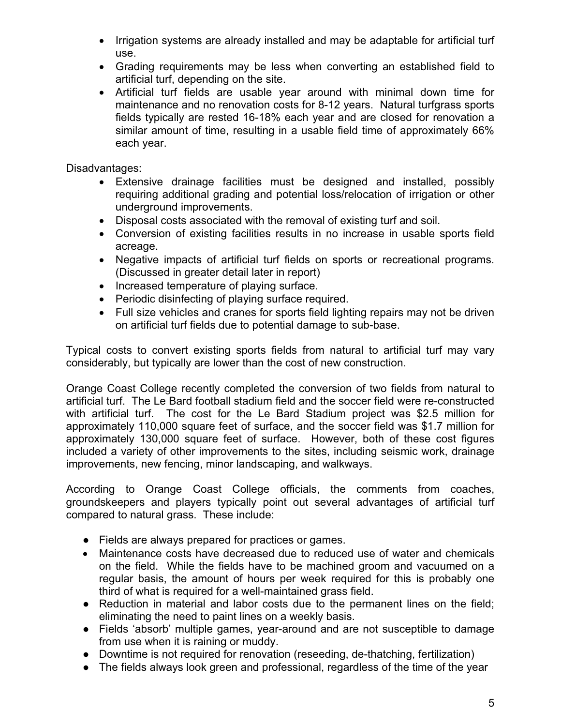- Irrigation systems are already installed and may be adaptable for artificial turf use.
- Grading requirements may be less when converting an established field to artificial turf, depending on the site.
- Artificial turf fields are usable year around with minimal down time for maintenance and no renovation costs for 8-12 years. Natural turfgrass sports fields typically are rested 16-18% each year and are closed for renovation a similar amount of time, resulting in a usable field time of approximately 66% each year.

Disadvantages:

- Extensive drainage facilities must be designed and installed, possibly requiring additional grading and potential loss/relocation of irrigation or other underground improvements.
- Disposal costs associated with the removal of existing turf and soil.
- Conversion of existing facilities results in no increase in usable sports field acreage.
- Negative impacts of artificial turf fields on sports or recreational programs. (Discussed in greater detail later in report)
- Increased temperature of playing surface.
- Periodic disinfecting of playing surface required.
- Full size vehicles and cranes for sports field lighting repairs may not be driven on artificial turf fields due to potential damage to sub-base.

Typical costs to convert existing sports fields from natural to artificial turf may vary considerably, but typically are lower than the cost of new construction.

Orange Coast College recently completed the conversion of two fields from natural to artificial turf. The Le Bard football stadium field and the soccer field were re-constructed with artificial turf. The cost for the Le Bard Stadium project was \$2.5 million for approximately 110,000 square feet of surface, and the soccer field was \$1.7 million for approximately 130,000 square feet of surface. However, both of these cost figures included a variety of other improvements to the sites, including seismic work, drainage improvements, new fencing, minor landscaping, and walkways.

According to Orange Coast College officials, the comments from coaches, groundskeepers and players typically point out several advantages of artificial turf compared to natural grass. These include:

- Fields are always prepared for practices or games.
- Maintenance costs have decreased due to reduced use of water and chemicals on the field. While the fields have to be machined groom and vacuumed on a regular basis, the amount of hours per week required for this is probably one third of what is required for a well-maintained grass field.
- Reduction in material and labor costs due to the permanent lines on the field; eliminating the need to paint lines on a weekly basis.
- Fields 'absorb' multiple games, year-around and are not susceptible to damage from use when it is raining or muddy.
- Downtime is not required for renovation (reseeding, de-thatching, fertilization)
- The fields always look green and professional, regardless of the time of the year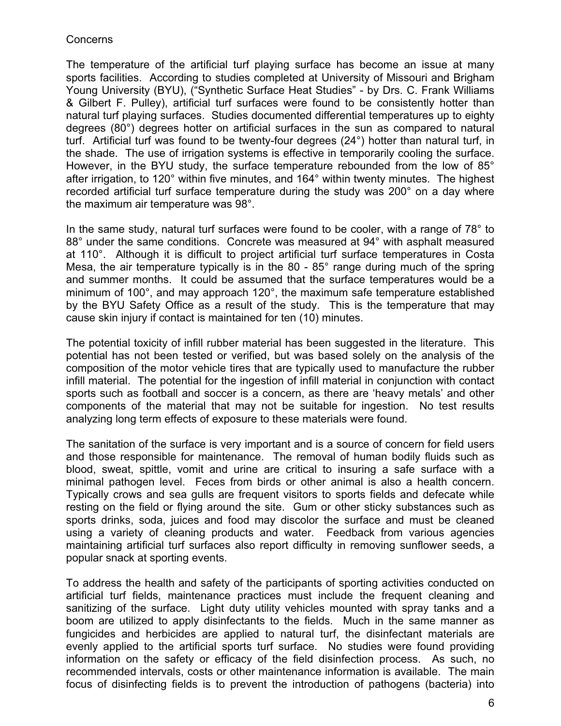## **Concerns**

The temperature of the artificial turf playing surface has become an issue at many sports facilities. According to studies completed at University of Missouri and Brigham Young University (BYU), ("Synthetic Surface Heat Studies" - by Drs. C. Frank Williams & Gilbert F. Pulley), artificial turf surfaces were found to be consistently hotter than natural turf playing surfaces. Studies documented differential temperatures up to eighty degrees (80°) degrees hotter on artificial surfaces in the sun as compared to natural turf. Artificial turf was found to be twenty-four degrees (24°) hotter than natural turf, in the shade. The use of irrigation systems is effective in temporarily cooling the surface. However, in the BYU study, the surface temperature rebounded from the low of 85° after irrigation, to 120° within five minutes, and 164° within twenty minutes. The highest recorded artificial turf surface temperature during the study was 200° on a day where the maximum air temperature was 98°.

In the same study, natural turf surfaces were found to be cooler, with a range of 78° to 88° under the same conditions. Concrete was measured at 94° with asphalt measured at 110°. Although it is difficult to project artificial turf surface temperatures in Costa Mesa, the air temperature typically is in the 80 - 85° range during much of the spring and summer months. It could be assumed that the surface temperatures would be a minimum of 100°, and may approach 120°, the maximum safe temperature established by the BYU Safety Office as a result of the study. This is the temperature that may cause skin injury if contact is maintained for ten (10) minutes.

The potential toxicity of infill rubber material has been suggested in the literature. This potential has not been tested or verified, but was based solely on the analysis of the composition of the motor vehicle tires that are typically used to manufacture the rubber infill material. The potential for the ingestion of infill material in conjunction with contact sports such as football and soccer is a concern, as there are 'heavy metals' and other components of the material that may not be suitable for ingestion. No test results analyzing long term effects of exposure to these materials were found.

The sanitation of the surface is very important and is a source of concern for field users and those responsible for maintenance. The removal of human bodily fluids such as blood, sweat, spittle, vomit and urine are critical to insuring a safe surface with a minimal pathogen level. Feces from birds or other animal is also a health concern. Typically crows and sea gulls are frequent visitors to sports fields and defecate while resting on the field or flying around the site. Gum or other sticky substances such as sports drinks, soda, juices and food may discolor the surface and must be cleaned using a variety of cleaning products and water. Feedback from various agencies maintaining artificial turf surfaces also report difficulty in removing sunflower seeds, a popular snack at sporting events.

To address the health and safety of the participants of sporting activities conducted on artificial turf fields, maintenance practices must include the frequent cleaning and sanitizing of the surface. Light duty utility vehicles mounted with spray tanks and a boom are utilized to apply disinfectants to the fields. Much in the same manner as fungicides and herbicides are applied to natural turf, the disinfectant materials are evenly applied to the artificial sports turf surface. No studies were found providing information on the safety or efficacy of the field disinfection process. As such, no recommended intervals, costs or other maintenance information is available. The main focus of disinfecting fields is to prevent the introduction of pathogens (bacteria) into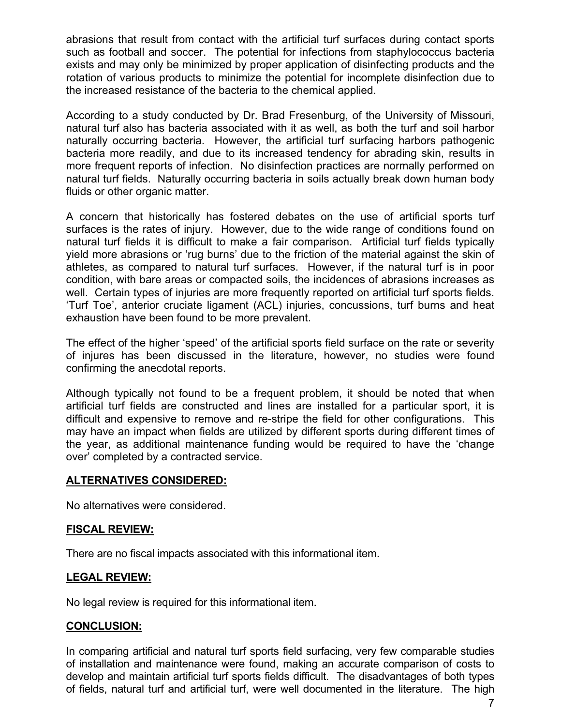abrasions that result from contact with the artificial turf surfaces during contact sports such as football and soccer. The potential for infections from staphylococcus bacteria exists and may only be minimized by proper application of disinfecting products and the rotation of various products to minimize the potential for incomplete disinfection due to the increased resistance of the bacteria to the chemical applied.

According to a study conducted by Dr. Brad Fresenburg, of the University of Missouri, natural turf also has bacteria associated with it as well, as both the turf and soil harbor naturally occurring bacteria. However, the artificial turf surfacing harbors pathogenic bacteria more readily, and due to its increased tendency for abrading skin, results in more frequent reports of infection. No disinfection practices are normally performed on natural turf fields. Naturally occurring bacteria in soils actually break down human body fluids or other organic matter.

A concern that historically has fostered debates on the use of artificial sports turf surfaces is the rates of injury. However, due to the wide range of conditions found on natural turf fields it is difficult to make a fair comparison. Artificial turf fields typically yield more abrasions or 'rug burns' due to the friction of the material against the skin of athletes, as compared to natural turf surfaces. However, if the natural turf is in poor condition, with bare areas or compacted soils, the incidences of abrasions increases as well. Certain types of injuries are more frequently reported on artificial turf sports fields. 'Turf Toe', anterior cruciate ligament (ACL) injuries, concussions, turf burns and heat exhaustion have been found to be more prevalent.

The effect of the higher 'speed' of the artificial sports field surface on the rate or severity of injures has been discussed in the literature, however, no studies were found confirming the anecdotal reports.

Although typically not found to be a frequent problem, it should be noted that when artificial turf fields are constructed and lines are installed for a particular sport, it is difficult and expensive to remove and re-stripe the field for other configurations. This may have an impact when fields are utilized by different sports during different times of the year, as additional maintenance funding would be required to have the 'change over' completed by a contracted service.

# **ALTERNATIVES CONSIDERED:**

No alternatives were considered.

## **FISCAL REVIEW:**

There are no fiscal impacts associated with this informational item.

## **LEGAL REVIEW:**

No legal review is required for this informational item.

## **CONCLUSION:**

In comparing artificial and natural turf sports field surfacing, very few comparable studies of installation and maintenance were found, making an accurate comparison of costs to develop and maintain artificial turf sports fields difficult. The disadvantages of both types of fields, natural turf and artificial turf, were well documented in the literature. The high